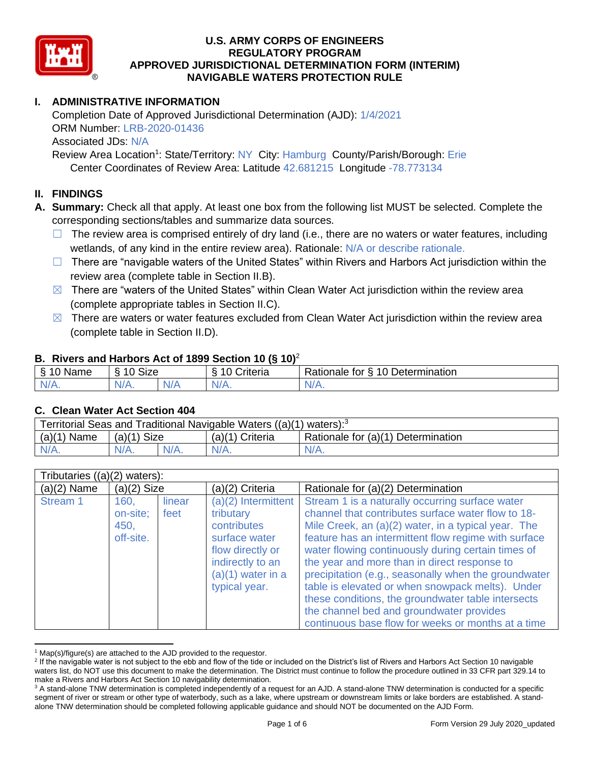

# **I. ADMINISTRATIVE INFORMATION**

Completion Date of Approved Jurisdictional Determination (AJD): 1/4/2021 ORM Number: LRB-2020-01436 Associated JDs: N/A Review Area Location<sup>1</sup>: State/Territory: NY City: Hamburg County/Parish/Borough: Erie Center Coordinates of Review Area: Latitude 42.681215 Longitude -78.773134

# **II. FINDINGS**

**A. Summary:** Check all that apply. At least one box from the following list MUST be selected. Complete the corresponding sections/tables and summarize data sources.

- $\Box$  The review area is comprised entirely of dry land (i.e., there are no waters or water features, including wetlands, of any kind in the entire review area). Rationale: N/A or describe rationale.
- $\Box$  There are "navigable waters of the United States" within Rivers and Harbors Act jurisdiction within the review area (complete table in Section II.B).
- $\boxtimes$  There are "waters of the United States" within Clean Water Act jurisdiction within the review area (complete appropriate tables in Section II.C).
- $\boxtimes$  There are waters or water features excluded from Clean Water Act jurisdiction within the review area (complete table in Section II.D).

## **B. Rivers and Harbors Act of 1899 Section 10 (§ 10)**<sup>2</sup>

| ς.<br>$\sim$<br>.<br>$\sim$<br>-<br>$\sim$<br>-<br>$-$ | . .       |                 |               |                                   |  |  |  |
|--------------------------------------------------------|-----------|-----------------|---------------|-----------------------------------|--|--|--|
|                                                        | lame<br>s | 10<br>SIZE<br>◠ | ;nteria<br>ΙU | Determination<br>tor<br>≺ationale |  |  |  |
| N/A.<br>N/<br>N/A.<br>N/A.<br>.                        |           |                 |               |                                   |  |  |  |

# **C. Clean Water Act Section 404**

| Territorial Seas and Traditional Navigable Waters ((a)(1) waters): $3$ |               |  |                 |                                    |
|------------------------------------------------------------------------|---------------|--|-----------------|------------------------------------|
| (a)(1)<br>Name                                                         | $(a)(1)$ Size |  | (a)(1) Criteria | Rationale for (a)(1) Determination |
|                                                                        | $N/A$ .       |  | $N/A$ .         | $N/A$ .                            |

| Tributaries $((a)(2)$ waters): |                                       |                |                                                                                                                                                    |                                                                                                                                                                                                                                                                                                                                                                                                                                                                                                                                                                                                |  |
|--------------------------------|---------------------------------------|----------------|----------------------------------------------------------------------------------------------------------------------------------------------------|------------------------------------------------------------------------------------------------------------------------------------------------------------------------------------------------------------------------------------------------------------------------------------------------------------------------------------------------------------------------------------------------------------------------------------------------------------------------------------------------------------------------------------------------------------------------------------------------|--|
| $(a)(2)$ Name                  | $(a)(2)$ Size                         |                | (a)(2) Criteria                                                                                                                                    | Rationale for (a)(2) Determination                                                                                                                                                                                                                                                                                                                                                                                                                                                                                                                                                             |  |
| Stream 1                       | 160,<br>on-site;<br>450,<br>off-site. | linear<br>feet | $(a)(2)$ Intermittent<br>tributary<br>contributes<br>surface water<br>flow directly or<br>indirectly to an<br>$(a)(1)$ water in a<br>typical year. | Stream 1 is a naturally occurring surface water<br>channel that contributes surface water flow to 18-<br>Mile Creek, an (a)(2) water, in a typical year. The<br>feature has an intermittent flow regime with surface<br>water flowing continuously during certain times of<br>the year and more than in direct response to<br>precipitation (e.g., seasonally when the groundwater<br>table is elevated or when snowpack melts). Under<br>these conditions, the groundwater table intersects<br>the channel bed and groundwater provides<br>continuous base flow for weeks or months at a time |  |

 $1$  Map(s)/figure(s) are attached to the AJD provided to the requestor.

<sup>&</sup>lt;sup>2</sup> If the navigable water is not subject to the ebb and flow of the tide or included on the District's list of Rivers and Harbors Act Section 10 navigable waters list, do NOT use this document to make the determination. The District must continue to follow the procedure outlined in 33 CFR part 329.14 to make a Rivers and Harbors Act Section 10 navigability determination.

<sup>&</sup>lt;sup>3</sup> A stand-alone TNW determination is completed independently of a request for an AJD. A stand-alone TNW determination is conducted for a specific segment of river or stream or other type of waterbody, such as a lake, where upstream or downstream limits or lake borders are established. A standalone TNW determination should be completed following applicable guidance and should NOT be documented on the AJD Form.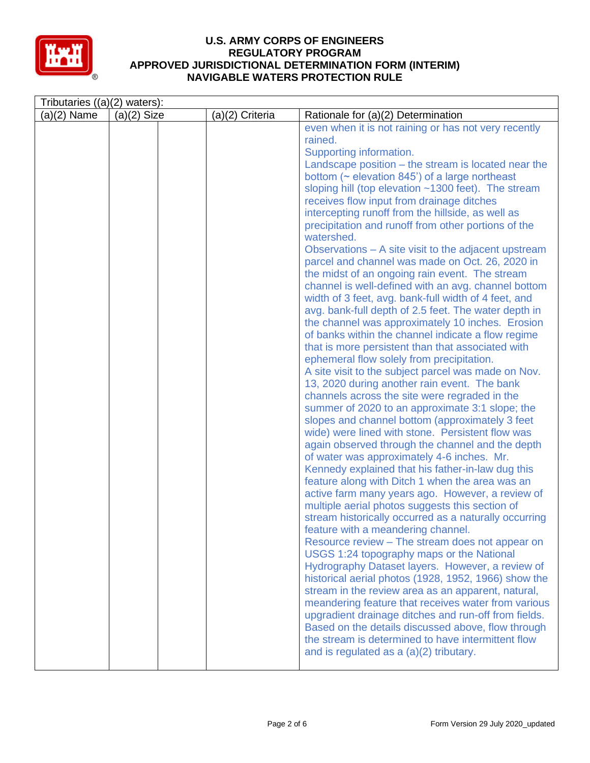

| Tributaries $((a)(2)$ waters): |               |  |                 |                                                                                                                                                                                                                                                                                                                                                                                                                                                                                                                                                                                                                                                                                                                                                                                                                                                                                                                                                                                                                                                                                                                                                                                                                                                                                                                                                                                                                                                                                                                                                                                                                                                                                                                                                                                                                                                                                                                                                                                                                                                                                                                                                                                                                                                                   |  |  |
|--------------------------------|---------------|--|-----------------|-------------------------------------------------------------------------------------------------------------------------------------------------------------------------------------------------------------------------------------------------------------------------------------------------------------------------------------------------------------------------------------------------------------------------------------------------------------------------------------------------------------------------------------------------------------------------------------------------------------------------------------------------------------------------------------------------------------------------------------------------------------------------------------------------------------------------------------------------------------------------------------------------------------------------------------------------------------------------------------------------------------------------------------------------------------------------------------------------------------------------------------------------------------------------------------------------------------------------------------------------------------------------------------------------------------------------------------------------------------------------------------------------------------------------------------------------------------------------------------------------------------------------------------------------------------------------------------------------------------------------------------------------------------------------------------------------------------------------------------------------------------------------------------------------------------------------------------------------------------------------------------------------------------------------------------------------------------------------------------------------------------------------------------------------------------------------------------------------------------------------------------------------------------------------------------------------------------------------------------------------------------------|--|--|
| $(a)(2)$ Name                  | $(a)(2)$ Size |  | (a)(2) Criteria | Rationale for (a)(2) Determination                                                                                                                                                                                                                                                                                                                                                                                                                                                                                                                                                                                                                                                                                                                                                                                                                                                                                                                                                                                                                                                                                                                                                                                                                                                                                                                                                                                                                                                                                                                                                                                                                                                                                                                                                                                                                                                                                                                                                                                                                                                                                                                                                                                                                                |  |  |
|                                |               |  |                 | even when it is not raining or has not very recently<br>rained.<br>Supporting information.<br>Landscape position $-$ the stream is located near the<br>bottom ( $\sim$ elevation 845') of a large northeast<br>sloping hill (top elevation ~1300 feet). The stream<br>receives flow input from drainage ditches<br>intercepting runoff from the hillside, as well as<br>precipitation and runoff from other portions of the<br>watershed.<br>Observations – A site visit to the adjacent upstream<br>parcel and channel was made on Oct. 26, 2020 in<br>the midst of an ongoing rain event. The stream<br>channel is well-defined with an avg. channel bottom<br>width of 3 feet, avg. bank-full width of 4 feet, and<br>avg. bank-full depth of 2.5 feet. The water depth in<br>the channel was approximately 10 inches. Erosion<br>of banks within the channel indicate a flow regime<br>that is more persistent than that associated with<br>ephemeral flow solely from precipitation.<br>A site visit to the subject parcel was made on Nov.<br>13, 2020 during another rain event. The bank<br>channels across the site were regraded in the<br>summer of 2020 to an approximate 3:1 slope; the<br>slopes and channel bottom (approximately 3 feet<br>wide) were lined with stone. Persistent flow was<br>again observed through the channel and the depth<br>of water was approximately 4-6 inches. Mr.<br>Kennedy explained that his father-in-law dug this<br>feature along with Ditch 1 when the area was an<br>active farm many years ago. However, a review of<br>multiple aerial photos suggests this section of<br>stream historically occurred as a naturally occurring<br>feature with a meandering channel.<br>Resource review - The stream does not appear on<br>USGS 1:24 topography maps or the National<br>Hydrography Dataset layers. However, a review of<br>historical aerial photos (1928, 1952, 1966) show the<br>stream in the review area as an apparent, natural,<br>meandering feature that receives water from various<br>upgradient drainage ditches and run-off from fields.<br>Based on the details discussed above, flow through<br>the stream is determined to have intermittent flow<br>and is regulated as $a(2)$ tributary. |  |  |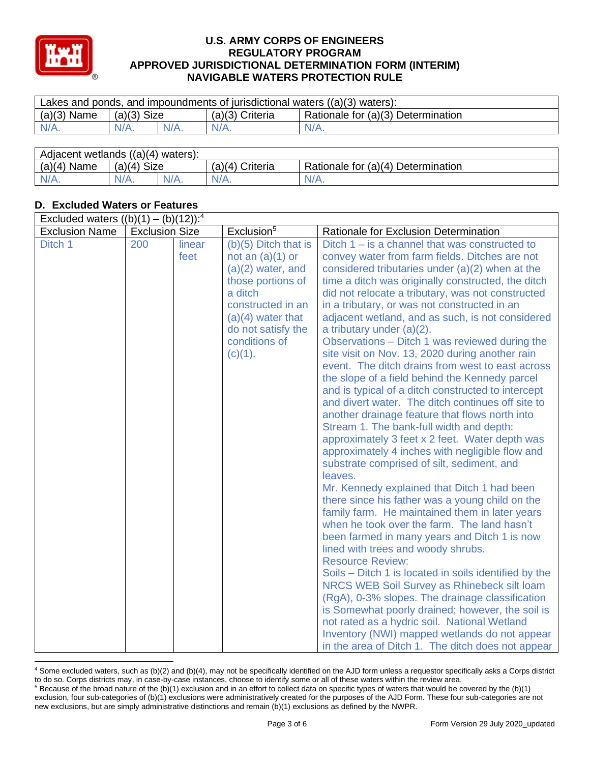

| Lakes and ponds, and impoundments of jurisdictional waters $((a)(3)$ waters): |             |         |                   |                                    |
|-------------------------------------------------------------------------------|-------------|---------|-------------------|------------------------------------|
| $(a)(3)$ Name                                                                 | (a)(3) Size |         | $(a)(3)$ Criteria | Rationale for (a)(3) Determination |
| $N/A$ .                                                                       | $N/A$ .     | $N/A$ . | $N/A$ .           | $N/A$ .                            |
|                                                                               |             |         |                   |                                    |

| Adjacent wetlands ((a)(4) waters): |                       |  |                    |                                                 |  |
|------------------------------------|-----------------------|--|--------------------|-------------------------------------------------|--|
| $(a)(4)$ Name                      | <b>Size</b><br>(a)(4) |  | Criteria<br>(a)(4) | <sup>1</sup> Rationale for (a)(4) Determination |  |
|                                    | N/A.                  |  |                    | N/A.                                            |  |

# **D. Excluded Waters or Features**

| Excluded waters $((b)(1) - (b)(12))$ : <sup>4</sup> |                       |                |                                                                                                                                                                                                   |                                                                                                                                                                                                                                                                                                                                                                                                                                                                                                                                                                                                                                                                                                                                                                                                                                                                                                                                                                                                                                                                                                                                                                                                                                                                                                                                                                                                                                                                                                                                                                                                                                                                                 |
|-----------------------------------------------------|-----------------------|----------------|---------------------------------------------------------------------------------------------------------------------------------------------------------------------------------------------------|---------------------------------------------------------------------------------------------------------------------------------------------------------------------------------------------------------------------------------------------------------------------------------------------------------------------------------------------------------------------------------------------------------------------------------------------------------------------------------------------------------------------------------------------------------------------------------------------------------------------------------------------------------------------------------------------------------------------------------------------------------------------------------------------------------------------------------------------------------------------------------------------------------------------------------------------------------------------------------------------------------------------------------------------------------------------------------------------------------------------------------------------------------------------------------------------------------------------------------------------------------------------------------------------------------------------------------------------------------------------------------------------------------------------------------------------------------------------------------------------------------------------------------------------------------------------------------------------------------------------------------------------------------------------------------|
| <b>Exclusion Name</b>                               | <b>Exclusion Size</b> |                | Exclusion <sup>5</sup>                                                                                                                                                                            | Rationale for Exclusion Determination                                                                                                                                                                                                                                                                                                                                                                                                                                                                                                                                                                                                                                                                                                                                                                                                                                                                                                                                                                                                                                                                                                                                                                                                                                                                                                                                                                                                                                                                                                                                                                                                                                           |
| Ditch 1                                             | 200                   | linear<br>feet | $(b)(5)$ Ditch that is<br>not an $(a)(1)$ or<br>$(a)(2)$ water, and<br>those portions of<br>a ditch<br>constructed in an<br>$(a)(4)$ water that<br>do not satisfy the<br>conditions of<br>(c)(1). | Ditch $1 - is a channel that was constructed to$<br>convey water from farm fields. Ditches are not<br>considered tributaries under (a)(2) when at the<br>time a ditch was originally constructed, the ditch<br>did not relocate a tributary, was not constructed<br>in a tributary, or was not constructed in an<br>adjacent wetland, and as such, is not considered<br>a tributary under $(a)(2)$ .<br>Observations - Ditch 1 was reviewed during the<br>site visit on Nov. 13, 2020 during another rain<br>event. The ditch drains from west to east across<br>the slope of a field behind the Kennedy parcel<br>and is typical of a ditch constructed to intercept<br>and divert water. The ditch continues off site to<br>another drainage feature that flows north into<br>Stream 1. The bank-full width and depth:<br>approximately 3 feet x 2 feet. Water depth was<br>approximately 4 inches with negligible flow and<br>substrate comprised of silt, sediment, and<br>leaves.<br>Mr. Kennedy explained that Ditch 1 had been<br>there since his father was a young child on the<br>family farm. He maintained them in later years<br>when he took over the farm. The land hasn't<br>been farmed in many years and Ditch 1 is now<br>lined with trees and woody shrubs.<br><b>Resource Review:</b><br>Soils - Ditch 1 is located in soils identified by the<br>NRCS WEB Soil Survey as Rhinebeck silt loam<br>(RgA), 0-3% slopes. The drainage classification<br>is Somewhat poorly drained; however, the soil is<br>not rated as a hydric soil. National Wetland<br>Inventory (NWI) mapped wetlands do not appear<br>in the area of Ditch 1. The ditch does not appear |

<sup>4</sup> Some excluded waters, such as (b)(2) and (b)(4), may not be specifically identified on the AJD form unless a requestor specifically asks a Corps district to do so. Corps districts may, in case-by-case instances, choose to identify some or all of these waters within the review area.  $5$  Because of the broad nature of the (b)(1) exclusion and in an effort to collect data on specific types of waters that would be covered by the (b)(1)

exclusion, four sub-categories of (b)(1) exclusions were administratively created for the purposes of the AJD Form. These four sub-categories are not new exclusions, but are simply administrative distinctions and remain (b)(1) exclusions as defined by the NWPR.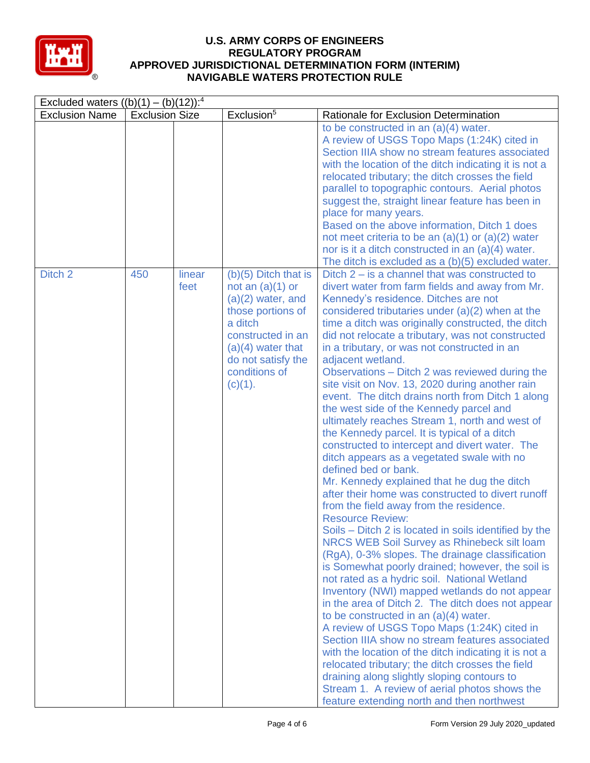

| Excluded waters $((b)(1) - (b)(12))$ : <sup>4</sup> |                       |                |                                                                                                                                                                                                   |                                                                                                                                                                                                                                                                                                                                                                                                                                                                                                                                                                                                                                                                                                                                                                                                                                                                                                                                                                                                                                                                                                                                                                                                                                                                                                                                                                                                                                                                                                                                                                                                                                                                                                                                                                     |  |
|-----------------------------------------------------|-----------------------|----------------|---------------------------------------------------------------------------------------------------------------------------------------------------------------------------------------------------|---------------------------------------------------------------------------------------------------------------------------------------------------------------------------------------------------------------------------------------------------------------------------------------------------------------------------------------------------------------------------------------------------------------------------------------------------------------------------------------------------------------------------------------------------------------------------------------------------------------------------------------------------------------------------------------------------------------------------------------------------------------------------------------------------------------------------------------------------------------------------------------------------------------------------------------------------------------------------------------------------------------------------------------------------------------------------------------------------------------------------------------------------------------------------------------------------------------------------------------------------------------------------------------------------------------------------------------------------------------------------------------------------------------------------------------------------------------------------------------------------------------------------------------------------------------------------------------------------------------------------------------------------------------------------------------------------------------------------------------------------------------------|--|
| <b>Exclusion Name</b>                               | <b>Exclusion Size</b> |                | Exclusion <sup>5</sup>                                                                                                                                                                            | Rationale for Exclusion Determination                                                                                                                                                                                                                                                                                                                                                                                                                                                                                                                                                                                                                                                                                                                                                                                                                                                                                                                                                                                                                                                                                                                                                                                                                                                                                                                                                                                                                                                                                                                                                                                                                                                                                                                               |  |
|                                                     |                       |                |                                                                                                                                                                                                   | to be constructed in an $(a)(4)$ water.<br>A review of USGS Topo Maps (1:24K) cited in<br>Section IIIA show no stream features associated<br>with the location of the ditch indicating it is not a<br>relocated tributary; the ditch crosses the field<br>parallel to topographic contours. Aerial photos<br>suggest the, straight linear feature has been in<br>place for many years.<br>Based on the above information, Ditch 1 does<br>not meet criteria to be an $(a)(1)$ or $(a)(2)$ water<br>nor is it a ditch constructed in an (a)(4) water.<br>The ditch is excluded as a (b)(5) excluded water.                                                                                                                                                                                                                                                                                                                                                                                                                                                                                                                                                                                                                                                                                                                                                                                                                                                                                                                                                                                                                                                                                                                                                           |  |
| Ditch <sub>2</sub>                                  | 450                   | linear<br>feet | $(b)(5)$ Ditch that is<br>not an $(a)(1)$ or<br>$(a)(2)$ water, and<br>those portions of<br>a ditch<br>constructed in an<br>$(a)(4)$ water that<br>do not satisfy the<br>conditions of<br>(c)(1). | Ditch $2 - is a channel that was constructed to$<br>divert water from farm fields and away from Mr.<br>Kennedy's residence. Ditches are not<br>considered tributaries under (a)(2) when at the<br>time a ditch was originally constructed, the ditch<br>did not relocate a tributary, was not constructed<br>in a tributary, or was not constructed in an<br>adjacent wetland.<br>Observations - Ditch 2 was reviewed during the<br>site visit on Nov. 13, 2020 during another rain<br>event. The ditch drains north from Ditch 1 along<br>the west side of the Kennedy parcel and<br>ultimately reaches Stream 1, north and west of<br>the Kennedy parcel. It is typical of a ditch<br>constructed to intercept and divert water. The<br>ditch appears as a vegetated swale with no<br>defined bed or bank.<br>Mr. Kennedy explained that he dug the ditch<br>after their home was constructed to divert runoff<br>from the field away from the residence.<br><b>Resource Review:</b><br>Soils – Ditch 2 is located in soils identified by the<br>NRCS WEB Soil Survey as Rhinebeck silt loam<br>(RgA), 0-3% slopes. The drainage classification<br>is Somewhat poorly drained; however, the soil is<br>not rated as a hydric soil. National Wetland<br>Inventory (NWI) mapped wetlands do not appear<br>in the area of Ditch 2. The ditch does not appear<br>to be constructed in an $(a)(4)$ water.<br>A review of USGS Topo Maps (1:24K) cited in<br>Section IIIA show no stream features associated<br>with the location of the ditch indicating it is not a<br>relocated tributary; the ditch crosses the field<br>draining along slightly sloping contours to<br>Stream 1. A review of aerial photos shows the<br>feature extending north and then northwest |  |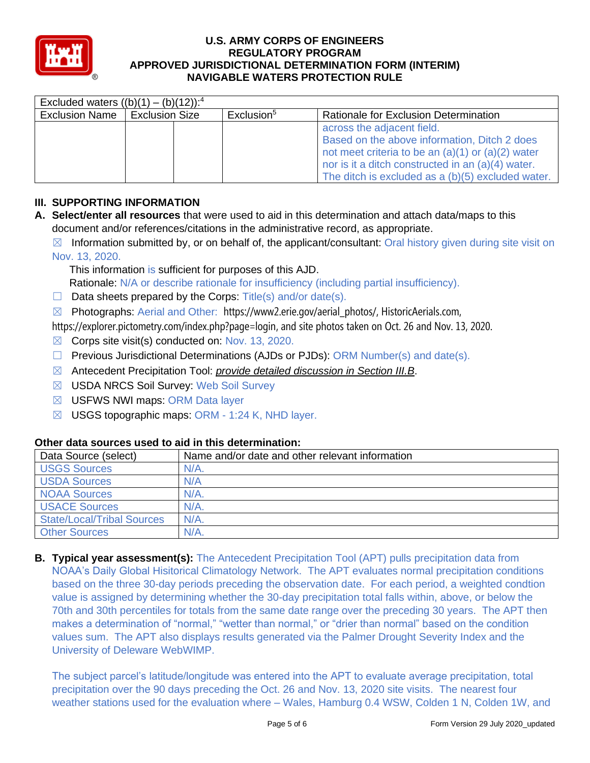

| Excluded waters $((b)(1) - (b)(12))$ : <sup>4</sup> |                       |                        |                                                                                                                                                                                                                                               |  |
|-----------------------------------------------------|-----------------------|------------------------|-----------------------------------------------------------------------------------------------------------------------------------------------------------------------------------------------------------------------------------------------|--|
| <b>Exclusion Name</b>                               | <b>Exclusion Size</b> | Exclusion <sup>5</sup> | Rationale for Exclusion Determination                                                                                                                                                                                                         |  |
|                                                     |                       |                        | across the adjacent field.<br>Based on the above information, Ditch 2 does<br>not meet criteria to be an $(a)(1)$ or $(a)(2)$ water<br>nor is it a ditch constructed in an (a)(4) water.<br>The ditch is excluded as a (b)(5) excluded water. |  |

# **III. SUPPORTING INFORMATION**

- **A. Select/enter all resources** that were used to aid in this determination and attach data/maps to this document and/or references/citations in the administrative record, as appropriate.
	- $\boxtimes$  Information submitted by, or on behalf of, the applicant/consultant: Oral history given during site visit on Nov. 13, 2020.

This information is sufficient for purposes of this AJD.

Rationale: N/A or describe rationale for insufficiency (including partial insufficiency).

- $\Box$  Data sheets prepared by the Corps: Title(s) and/or date(s).
- $\boxtimes$  Photographs: Aerial and Other: https://www2.erie.gov/aerial photos/, HistoricAerials.com,

https://explorer.pictometry.com/index.php?page=login, and site photos taken on Oct. 26 and Nov. 13, 2020.

- $\boxtimes$  Corps site visit(s) conducted on: Nov. 13, 2020.
- ☐ Previous Jurisdictional Determinations (AJDs or PJDs): ORM Number(s) and date(s).
- ☒ Antecedent Precipitation Tool: *provide detailed discussion in Section III.B*.
- ☒ USDA NRCS Soil Survey: Web Soil Survey
- ☒ USFWS NWI maps: ORM Data layer
- $\boxtimes$  USGS topographic maps: ORM 1:24 K, NHD layer.

# **Other data sources used to aid in this determination:**

| Data Source (select)              | Name and/or date and other relevant information |
|-----------------------------------|-------------------------------------------------|
| <b>USGS Sources</b>               | $N/A$ .                                         |
| <b>USDA Sources</b>               | N/A                                             |
| <b>NOAA Sources</b>               | $N/A$ .                                         |
| <b>USACE Sources</b>              | $N/A$ .                                         |
| <b>State/Local/Tribal Sources</b> | $N/A$ .                                         |
| <b>Other Sources</b>              | $N/A$ .                                         |

**B. Typical year assessment(s):** The Antecedent Precipitation Tool (APT) pulls precipitation data from NOAA's Daily Global Hisitorical Climatology Network. The APT evaluates normal precipitation conditions based on the three 30-day periods preceding the observation date. For each period, a weighted condtion value is assigned by determining whether the 30-day precipitation total falls within, above, or below the 70th and 30th percentiles for totals from the same date range over the preceding 30 years. The APT then makes a determination of "normal," "wetter than normal," or "drier than normal" based on the condition values sum. The APT also displays results generated via the Palmer Drought Severity Index and the University of Deleware WebWIMP.

The subject parcel's latitude/longitude was entered into the APT to evaluate average precipitation, total precipitation over the 90 days preceding the Oct. 26 and Nov. 13, 2020 site visits. The nearest four weather stations used for the evaluation where – Wales, Hamburg 0.4 WSW, Colden 1 N, Colden 1W, and